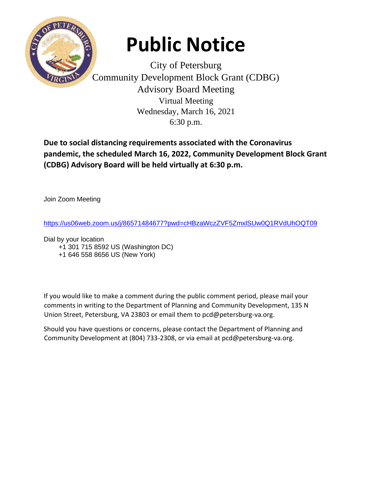

## **Public Notice**

City of Petersburg Community Development Block Grant (CDBG) Advisory Board Meeting Virtual Meeting Wednesday, March 16, 2021 6:30 p.m.

**Due to social distancing requirements associated with the Coronavirus pandemic, the scheduled March 16, 2022, Community Development Block Grant (CDBG) Advisory Board will be held virtually at 6:30 p.m.** 

Join Zoom Meeting

<https://us06web.zoom.us/j/86571484677?pwd=cHBzaWczZVF5ZmxlSUw0Q1RVdUhOQT09>

Dial by your location

+1 301 715 8592 US (Washington DC)

+1 646 558 8656 US (New York)

If you would like to make a comment during the public comment period, please mail your comments in writing to the Department of Planning and Community Development, 135 N Union Street, Petersburg, VA 23803 or email them to pcd@petersburg-va.org.

Should you have questions or concerns, please contact the Department of Planning and Community Development at (804) 733-2308, or via email at pcd@petersburg-va.org.